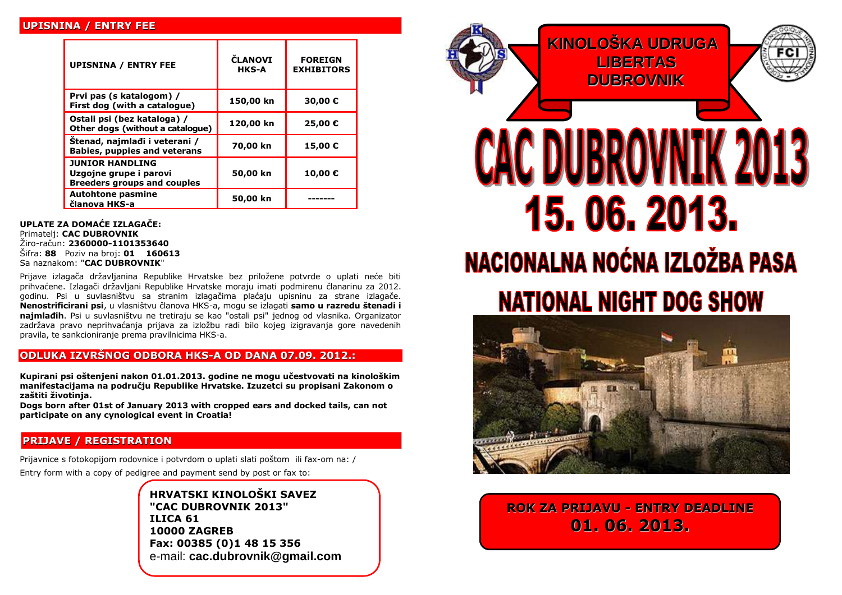#### **UPISNINA / ENTRY FEE**

| <b>UPISNINA / ENTRY FEE</b>                                                            | <b>ČLANOVI</b><br>HKS-A | <b>FOREIGN</b><br><b>EXHIBITORS</b> |
|----------------------------------------------------------------------------------------|-------------------------|-------------------------------------|
| Prvi pas (s katalogom) /<br>First dog (with a catalogue)                               | 150,00 kn               | 30,00€                              |
| Ostali psi (bez kataloga) /<br>Other dogs (without a catalogue)                        | 120,00 kn               | 25,00 €                             |
| Stenad, najmlađi i veterani /<br><b>Babies, puppies and veterans</b>                   | 70,00 kn                | 15,00€                              |
| <b>JUNIOR HANDLING</b><br>Uzgojne grupe i parovi<br><b>Breeders groups and couples</b> | 50,00 kn                | 10,00€                              |
| <b>Autohtone pasmine</b><br>članova HKS-a                                              | 50,00 kn                |                                     |

**UPLATE ZA DOMAĆE IZLAGAČE:**  Primatelj: **CAC DUBROVNIK** Žiro-račun: **2360000-1101353640** Šifra: **88** Poziv na broj: **01 160613**  Sa naznakom: "**CAC DUBROVNIK**"

Prijave izlagača državljanina Republike Hrvatske bez priložene potvrde o uplati neće biti prihvaćene. Izlagači državljani Republike Hrvatske moraju imati podmirenu članarinu za 2012. godinu. Psi u suvlasništvu sa stranim izlagačima plaćaju upisninu za strane izlagače. **Nenostrificirani psi**, u vlasništvu članova HKS-a, mogu se izlagati **samo u razredu štenadi i najmlađih**. Psi u suvlasništvu ne tretiraju se kao "ostali psi" jednog od vlasnika. Organizator zadržava pravo neprihvaćanja prijava za izložbu radi bilo kojeg izigravanja gore navedenih pravila, te sankcioniranje prema pravilnicima HKS-a.

#### **ODLUKA IZVRŠNOG ODBORA HKS-A OD DANA 07.09. 2012.:**

**Kupirani psi oštenjeni nakon 01.01.2013. godine ne mogu učestvovati na kinološkim manifestacijama na području Republike Hrvatske. Izuzetci su propisani Zakonom o zaštiti životinja.**

**Dogs born after 01st of January 2013 with cropped ears and docked tails, can not participate on any cynological event in Croatia!**

#### **PRIJAVE / REGISTRATION**

Prijavnice s fotokopijom rodovnice i potvrdom o uplati slati poštom ili fax-om na: /

Entry form with a copy of pedigree and payment send by post or fax to:

**HRVATSKI KINOLOŠKI SAVEZ "CAC DUBROVNIK 2013" ILICA 61 10000 ZAGREB Fax: 00385 (0)1 48 15 356** e-mail: **cac.dubrovnik@gmail.com**





**ROK ZA PRIJAVU - ENTRY DEADLINE 01. 06. 2013.**